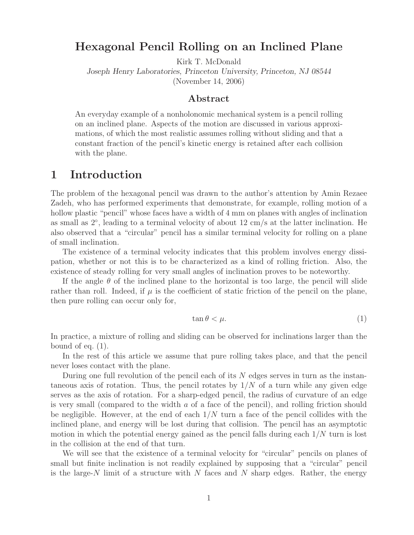## **Hexagonal Pencil Rolling on an Inclined Plane**

Kirk T. McDonald

*Joseph Henry Laboratories, Princeton University, Princeton, NJ 08544* (November 14, 2006)

#### **Abstract**

An everyday example of a nonholonomic mechanical system is a pencil rolling on an inclined plane. Aspects of the motion are discussed in various approximations, of which the most realistic assumes rolling without sliding and that a constant fraction of the pencil's kinetic energy is retained after each collision with the plane.

## **1 Introduction**

The problem of the hexagonal pencil was drawn to the author's attention by Amin Rezaee Zadeh, who has performed experiments that demonstrate, for example, rolling motion of a hollow plastic "pencil" whose faces have a width of 4 mm on planes with angles of inclination as small as  $2^{\circ}$ , leading to a terminal velocity of about  $12 \text{ cm/s}$  at the latter inclination. He also observed that a "circular" pencil has a similar terminal velocity for rolling on a plane of small inclination.

The existence of a terminal velocity indicates that this problem involves energy dissipation, whether or not this is to be characterized as a kind of rolling friction. Also, the existence of steady rolling for very small angles of inclination proves to be noteworthy.

If the angle  $\theta$  of the inclined plane to the horizontal is too large, the pencil will slide rather than roll. Indeed, if  $\mu$  is the coefficient of static friction of the pencil on the plane, then pure rolling can occur only for,

$$
\tan \theta < \mu. \tag{1}
$$

In practice, a mixture of rolling and sliding can be observed for inclinations larger than the bound of eq.  $(1)$ .

In the rest of this article we assume that pure rolling takes place, and that the pencil never loses contact with the plane.

During one full revolution of the pencil each of its N edges serves in turn as the instantaneous axis of rotation. Thus, the pencil rotates by  $1/N$  of a turn while any given edge serves as the axis of rotation. For a sharp-edged pencil, the radius of curvature of an edge is very small (compared to the width a of a face of the pencil), and rolling friction should be negligible. However, at the end of each  $1/N$  turn a face of the pencil collides with the inclined plane, and energy will be lost during that collision. The pencil has an asymptotic motion in which the potential energy gained as the pencil falls during each  $1/N$  turn is lost in the collision at the end of that turn.

We will see that the existence of a terminal velocity for "circular" pencils on planes of small but finite inclination is not readily explained by supposing that a "circular" pencil is the large-N limit of a structure with N faces and N sharp edges. Rather, the energy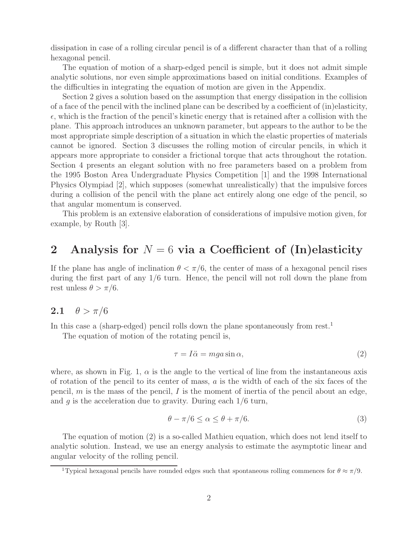dissipation in case of a rolling circular pencil is of a different character than that of a rolling hexagonal pencil.

The equation of motion of a sharp-edged pencil is simple, but it does not admit simple analytic solutions, nor even simple approximations based on initial conditions. Examples of the difficulties in integrating the equation of motion are given in the Appendix.

Section 2 gives a solution based on the assumption that energy dissipation in the collision of a face of the pencil with the inclined plane can be described by a coefficient of (in)elasticity,  $\epsilon$ , which is the fraction of the pencil's kinetic energy that is retained after a collision with the plane. This approach introduces an unknown parameter, but appears to the author to be the most appropriate simple description of a situation in which the elastic properties of materials cannot be ignored. Section 3 discusses the rolling motion of circular pencils, in which it appears more appropriate to consider a frictional torque that acts throughout the rotation. Section 4 presents an elegant solution with no free parameters based on a problem from the 1995 Boston Area Undergraduate Physics Competition [1] and the 1998 International Physics Olympiad [2], which supposes (somewhat unrealistically) that the impulsive forces during a collision of the pencil with the plane act entirely along one edge of the pencil, so that angular momentum is conserved.

This problem is an extensive elaboration of considerations of impulsive motion given, for example, by Routh [3].

# **2 Analysis for** N = 6 **via a Coefficient of (In)elasticity**

If the plane has angle of inclination  $\theta < \pi/6$ , the center of mass of a hexagonal pencil rises during the first part of any 1/6 turn. Hence, the pencil will not roll down the plane from rest unless  $\theta > \pi/6$ .

## **2.1**  $\theta > \pi/6$

In this case a (sharp-edged) pencil rolls down the plane spontaneously from rest.<sup>1</sup>

The equation of motion of the rotating pencil is,

$$
\tau = I\ddot{\alpha} = mga\sin\alpha,\tag{2}
$$

where, as shown in Fig. 1,  $\alpha$  is the angle to the vertical of line from the instantaneous axis of rotation of the pencil to its center of mass,  $a$  is the width of each of the six faces of the pencil, m is the mass of the pencil, I is the moment of inertia of the pencil about an edge, and  $g$  is the acceleration due to gravity. During each  $1/6$  turn,

$$
\theta - \pi/6 \le \alpha \le \theta + \pi/6. \tag{3}
$$

The equation of motion (2) is a so-called Mathieu equation, which does not lend itself to analytic solution. Instead, we use an energy analysis to estimate the asymptotic linear and angular velocity of the rolling pencil.

<sup>&</sup>lt;sup>1</sup>Typical hexagonal pencils have rounded edges such that spontaneous rolling commences for  $\theta \approx \pi/9$ .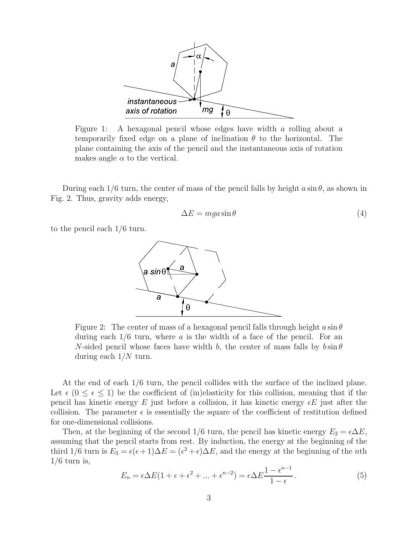

Figure 1: A hexagonal pencil whose edges have width a rolling about a temporarily fixed edge on a plane of inclination  $\theta$  to the horizontal. The plane containing the axis of the pencil and the instantaneous axis of rotation makes angle  $\alpha$  to the vertical.

During each  $1/6$  turn, the center of mass of the pencil falls by height  $a \sin \theta$ , as shown in Fig. 2. Thus, gravity adds energy,

$$
\Delta E = mga \sin \theta \tag{4}
$$

to the pencil each 1/6 turn.



Figure 2: The center of mass of a hexagonal pencil falls through height  $a \sin \theta$ during each  $1/6$  turn, where a is the width of a face of the pencil. For an N-sided pencil whose faces have width b, the center of mass falls by  $b \sin \theta$ during each  $1/N$  turn.

At the end of each 1/6 turn, the pencil collides with the surface of the inclined plane. Let  $\epsilon$  ( $0 \leq \epsilon \leq 1$ ) be the coefficient of (in)elasticity for this collision, meaning that if the pencil has kinetic energy E just before a collision, it has kinetic energy  $\epsilon E$  just after the collision. The parameter  $\epsilon$  is essentially the square of the coefficient of restitution defined for one-dimensional collisions.

Then, at the beginning of the second 1/6 turn, the pencil has kinetic energy  $E_2 = \epsilon \Delta E$ , assuming that the pencil starts from rest. By induction, the energy at the beginning of the third 1/6 turn is  $E_3 = \epsilon(\epsilon + 1)\Delta E = (\epsilon^2 + \epsilon)\Delta E$ , and the energy at the beginning of the *n*th  $1/6$  turn is,

$$
E_n = \epsilon \Delta E (1 + \epsilon + \epsilon^2 + \dots + \epsilon^{n-2}) = \epsilon \Delta E \frac{1 - \epsilon^{n-1}}{1 - \epsilon}.
$$
 (5)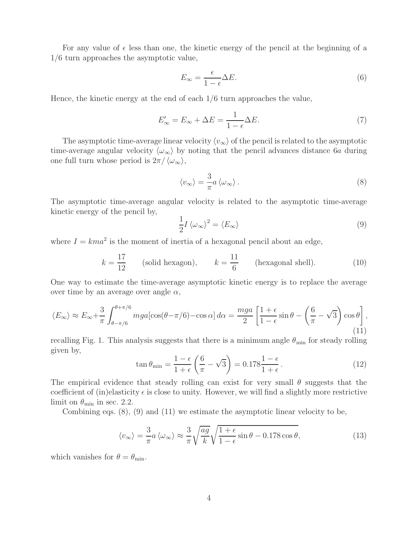For any value of  $\epsilon$  less than one, the kinetic energy of the pencil at the beginning of a 1/6 turn approaches the asymptotic value,

$$
E_{\infty} = \frac{\epsilon}{1 - \epsilon} \Delta E. \tag{6}
$$

Hence, the kinetic energy at the end of each 1/6 turn approaches the value,

$$
E'_{\infty} = E_{\infty} + \Delta E = \frac{1}{1 - \epsilon} \Delta E.
$$
\n(7)

The asymptotic time-average linear velocity  $\langle v_{\infty} \rangle$  of the pencil is related to the asymptotic time-average angular velocity  $\langle \omega_{\infty} \rangle$  by noting that the pencil advances distance 6a during one full turn whose period is  $2\pi/\langle\omega_{\infty}\rangle$ ,

$$
\langle v_{\infty} \rangle = \frac{3}{\pi} a \langle \omega_{\infty} \rangle. \tag{8}
$$

The asymptotic time-average angular velocity is related to the asymptotic time-average kinetic energy of the pencil by,

$$
\frac{1}{2}I \langle \omega_{\infty} \rangle^2 = \langle E_{\infty} \rangle \tag{9}
$$

where  $I = kma^2$  is the moment of inertia of a hexagonal pencil about an edge,

$$
k = \frac{17}{12}
$$
 (solid hexagon),  $k = \frac{11}{6}$  (hexagonal shell). (10)

One way to estimate the time-average asymptotic kinetic energy is to replace the average over time by an average over angle  $\alpha$ ,

$$
\langle E_{\infty} \rangle \approx E_{\infty} + \frac{3}{\pi} \int_{\theta - \pi/6}^{\theta + \pi/6} mg a [\cos(\theta - \pi/6) - \cos \alpha] d\alpha = \frac{mg a}{2} \left[ \frac{1 + \epsilon}{1 - \epsilon} \sin \theta - \left( \frac{6}{\pi} - \sqrt{3} \right) \cos \theta \right],
$$
\n(11)

recalling Fig. 1. This analysis suggests that there is a minimum angle  $\theta_{\min}$  for steady rolling given by,

$$
\tan \theta_{\min} = \frac{1 - \epsilon}{1 + \epsilon} \left( \frac{6}{\pi} - \sqrt{3} \right) = 0.178 \frac{1 - \epsilon}{1 + \epsilon}.
$$
\n(12)

The empirical evidence that steady rolling can exist for very small  $\theta$  suggests that the coefficient of (in)elasticity  $\epsilon$  is close to unity. However, we will find a slightly more restrictive limit on  $\theta_{\min}$  in sec. 2.2.

Combining eqs. (8), (9) and (11) we estimate the asymptotic linear velocity to be,

$$
\langle v_{\infty} \rangle = \frac{3}{\pi} a \langle \omega_{\infty} \rangle \approx \frac{3}{\pi} \sqrt{\frac{ag}{k}} \sqrt{\frac{1+\epsilon}{1-\epsilon} \sin \theta - 0.178 \cos \theta}, \tag{13}
$$

which vanishes for  $\theta = \theta_{\min}$ .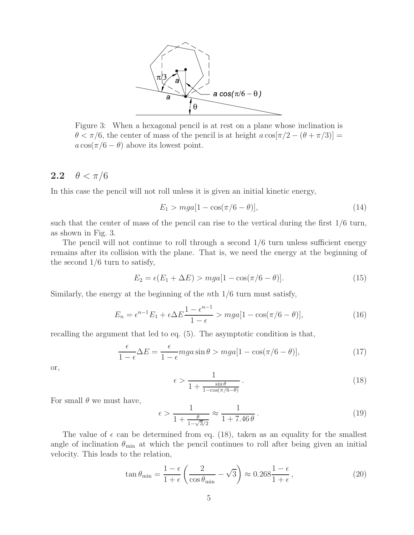

Figure 3: When a hexagonal pencil is at rest on a plane whose inclination is  $\theta < \pi/6$ , the center of mass of the pencil is at height  $a \cos[\pi/2 - (\theta + \pi/3)] =$  $a \cos(\pi/6 - \theta)$  above its lowest point.

## **2.2**  $\theta < \pi/6$

In this case the pencil will not roll unless it is given an initial kinetic energy,

$$
E_1 > mga[1 - \cos(\pi/6 - \theta)],
$$
\n(14)

such that the center of mass of the pencil can rise to the vertical during the first 1/6 turn, as shown in Fig. 3.

The pencil will not continue to roll through a second 1/6 turn unless sufficient energy remains after its collision with the plane. That is, we need the energy at the beginning of the second 1/6 turn to satisfy,

$$
E_2 = \epsilon (E_1 + \Delta E) > mga[1 - \cos(\pi/6 - \theta)].
$$
\n(15)

Similarly, the energy at the beginning of the *n*th  $1/6$  turn must satisfy,

$$
E_n = \epsilon^{n-1} E_1 + \epsilon \Delta E \frac{1 - \epsilon^{n-1}}{1 - \epsilon} > mga[1 - \cos(\pi/6 - \theta)],\tag{16}
$$

recalling the argument that led to eq. (5). The asymptotic condition is that,

$$
\frac{\epsilon}{1-\epsilon}\Delta E = \frac{\epsilon}{1-\epsilon}mga\sin\theta > mga[1-\cos(\pi/6-\theta)],\tag{17}
$$

or,

$$
\epsilon > \frac{1}{1 + \frac{\sin \theta}{1 - \cos(\pi/6 - \theta)}}.
$$
\n(18)

For small  $\theta$  we must have,

$$
\epsilon > \frac{1}{1 + \frac{\theta}{1 - \sqrt{3}/2}} \approx \frac{1}{1 + 7.46 \theta} \,. \tag{19}
$$

The value of  $\epsilon$  can be determined from eq. (18), taken as an equality for the smallest angle of inclination  $\theta_{\min}$  at which the pencil continues to roll after being given an initial velocity. This leads to the relation,

$$
\tan \theta_{\min} = \frac{1 - \epsilon}{1 + \epsilon} \left( \frac{2}{\cos \theta_{\min}} - \sqrt{3} \right) \approx 0.268 \frac{1 - \epsilon}{1 + \epsilon}, \tag{20}
$$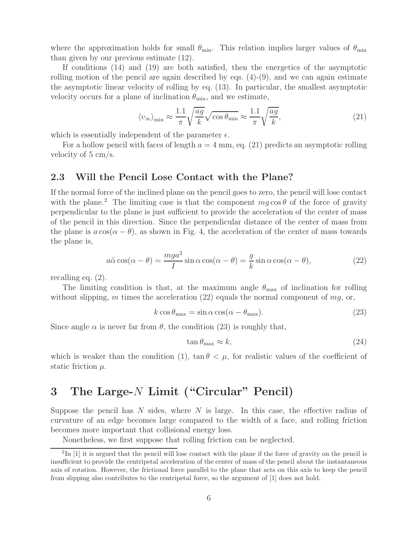where the approximation holds for small  $\theta_{\min}$ . This relation implies larger values of  $\theta_{\min}$ than given by our previous estimate (12).

If conditions (14) and (19) are both satisfied, then the energetics of the asymptotic rolling motion of the pencil are again described by eqs.  $(4)-(9)$ , and we can again estimate the asymptotic linear velocity of rolling by eq. (13). In particular, the smallest asymptotic velocity occurs for a plane of inclination  $\theta_{\min}$ , and we estimate,

$$
\langle v_{\infty} \rangle_{\min} \approx \frac{1.1}{\pi} \sqrt{\frac{ag}{k}} \sqrt{\cos \theta_{\min}} \approx \frac{1.1}{\pi} \sqrt{\frac{ag}{k}},\tag{21}
$$

which is essentially independent of the parameter  $\epsilon$ .

For a hollow pencil with faces of length  $a = 4$  mm, eq. (21) predicts an asymptotic rolling velocity of 5 cm/s.

### **2.3 Will the Pencil Lose Contact with the Plane?**

If the normal force of the inclined plane on the pencil goes to zero, the pencil will lose contact with the plane.<sup>2</sup> The limiting case is that the component  $mg \cos \theta$  of the force of gravity perpendicular to the plane is just sufficient to provide the acceleration of the center of mass of the pencil in this direction. Since the perpendicular distance of the center of mass from the plane is  $a\cos(\alpha - \theta)$ , as shown in Fig. 4, the acceleration of the center of mass towards the plane is,

$$
a\ddot{\alpha}\cos(\alpha-\theta) = \frac{mga^2}{I}\sin\alpha\cos(\alpha-\theta) = \frac{g}{k}\sin\alpha\cos(\alpha-\theta),\tag{22}
$$

recalling eq. (2).

The limiting condition is that, at the maximum angle  $\theta_{\text{max}}$  of inclination for rolling without slipping, m times the acceleration  $(22)$  equals the normal component of mg, or,

$$
k \cos \theta_{\text{max}} = \sin \alpha \cos(\alpha - \theta_{\text{max}}). \tag{23}
$$

Since angle  $\alpha$  is never far from  $\theta$ , the condition (23) is roughly that,

$$
\tan \theta_{\text{max}} \approx k,\tag{24}
$$

which is weaker than the condition (1),  $\tan \theta < \mu$ , for realistic values of the coefficient of static friction  $\mu$ .

# **3 The Large-**N **Limit ("Circular" Pencil)**

Suppose the pencil has  $N$  sides, where  $N$  is large. In this case, the effective radius of curvature of an edge becomes large compared to the width of a face, and rolling friction becomes more important that collisional energy loss.

Nonetheless, we first suppose that rolling friction can be neglected.

 $2\text{In}$  [1] it is argued that the pencil will lose contact with the plane if the force of gravity on the pencil is insufficient to provide the centripetal acceleration of the center of mass of the pencil about the instantaneous axis of rotation. However, the frictional force parallel to the plane that acts on this axis to keep the pencil from slipping also contributes to the centripetal force, so the argument of [1] does not hold.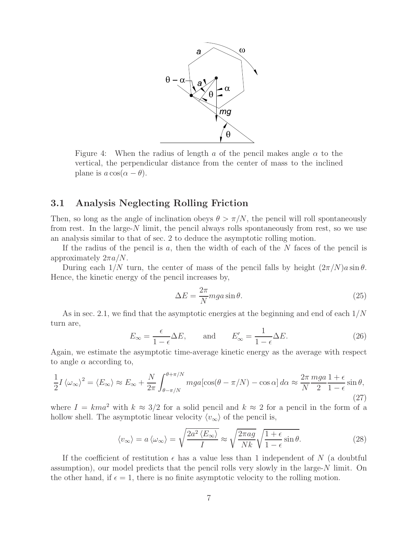

Figure 4: When the radius of length a of the pencil makes angle  $\alpha$  to the vertical, the perpendicular distance from the center of mass to the inclined plane is  $a \cos(\alpha - \theta)$ .

### **3.1 Analysis Neglecting Rolling Friction**

Then, so long as the angle of inclination obeys  $\theta > \pi/N$ , the pencil will roll spontaneously from rest. In the large- $N$  limit, the pencil always rolls spontaneously from rest, so we use an analysis similar to that of sec. 2 to deduce the asymptotic rolling motion.

If the radius of the pencil is  $a$ , then the width of each of the  $N$  faces of the pencil is approximately  $2\pi a/N$ .

During each  $1/N$  turn, the center of mass of the pencil falls by height  $(2\pi/N)a\sin\theta$ . Hence, the kinetic energy of the pencil increases by,

$$
\Delta E = \frac{2\pi}{N} mga \sin \theta. \tag{25}
$$

As in sec. 2.1, we find that the asymptotic energies at the beginning and end of each  $1/N$ turn are,

$$
E_{\infty} = \frac{\epsilon}{1 - \epsilon} \Delta E, \quad \text{and} \quad E'_{\infty} = \frac{1}{1 - \epsilon} \Delta E. \tag{26}
$$

Again, we estimate the asymptotic time-average kinetic energy as the average with respect to angle  $\alpha$  according to,

$$
\frac{1}{2}I\left\langle \omega_{\infty}\right\rangle^{2} = \left\langle E_{\infty}\right\rangle \approx E_{\infty} + \frac{N}{2\pi} \int_{\theta-\pi/N}^{\theta+\pi/N} mg a [\cos(\theta-\pi/N) - \cos\alpha] \, d\alpha \approx \frac{2\pi}{N} \frac{mga}{2} \frac{1+\epsilon}{1-\epsilon} \sin\theta,
$$
\n(27)

where  $I = kma^2$  with  $k \approx 3/2$  for a solid pencil and  $k \approx 2$  for a pencil in the form of a hollow shell. The asymptotic linear velocity  $\langle v_{\infty} \rangle$  of the pencil is,

$$
\langle v_{\infty} \rangle = a \langle \omega_{\infty} \rangle = \sqrt{\frac{2a^2 \langle E_{\infty} \rangle}{I}} \approx \sqrt{\frac{2\pi a g}{Nk}} \sqrt{\frac{1+\epsilon}{1-\epsilon}} \sin \theta.
$$
 (28)

If the coefficient of restitution  $\epsilon$  has a value less than 1 independent of N (a doubtful assumption), our model predicts that the pencil rolls very slowly in the large- $N$  limit. On the other hand, if  $\epsilon = 1$ , there is no finite asymptotic velocity to the rolling motion.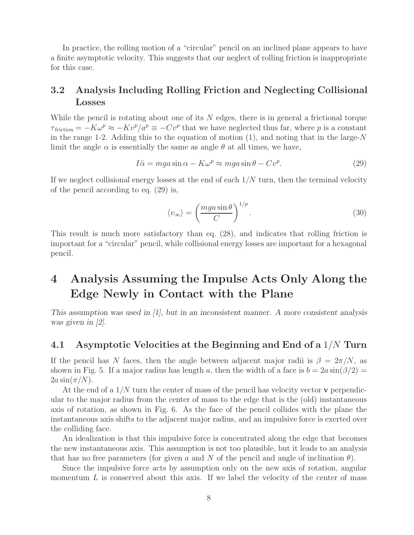In practice, the rolling motion of a "circular" pencil on an inclined plane appears to have a finite asymptotic velocity. This suggests that our neglect of rolling friction is inappropriate for this case.

## **3.2 Analysis Including Rolling Friction and Neglecting Collisional Losses**

While the pencil is rotating about one of its  $N$  edges, there is in general a frictional torque  $\tau_{\text{friction}} = -K\omega^p \approx -Kv^p/a^p \equiv -Cv^p$  that we have neglected thus far, where p is a constant in the range 1-2. Adding this to the equation of motion  $(1)$ , and noting that in the large-N limit the angle  $\alpha$  is essentially the same as angle  $\theta$  at all times, we have,

$$
I\ddot{\alpha} = mga\sin\alpha - K\omega^p \approx mga\sin\theta - Cv^p. \tag{29}
$$

If we neglect collisional energy losses at the end of each  $1/N$  turn, then the terminal velocity of the pencil according to eq. (29) is,

$$
\langle v_{\infty} \rangle = \left(\frac{mga\sin\theta}{C}\right)^{1/p}.\tag{30}
$$

This result is much more satisfactory than eq. (28), and indicates that rolling friction is important for a "circular" pencil, while collisional energy losses are important for a hexagonal pencil.

# **4 Analysis Assuming the Impulse Acts Only Along the Edge Newly in Contact with the Plane**

*This assumption was used in [1], but in an inconsistent manner. A more consistent analysis was given in [2].*

### **4.1 Asymptotic Velocities at the Beginning and End of a** 1/N **Turn**

If the pencil has N faces, then the angle between adjacent major radii is  $\beta = 2\pi/N$ , as shown in Fig. 5. If a major radius has length a, then the width of a face is  $b = 2a \sin(\beta/2) =$  $2a\sin(\pi/N)$ .

At the end of a 1/N turn the center of mass of the pencil has velocity vector **v** perpendicular to the major radius from the center of mass to the edge that is the (old) instantaneous axis of rotation, as shown in Fig. 6. As the face of the pencil collides with the plane the instantaneous axis shifts to the adjacent major radius, and an impulsive force is exerted over the colliding face.

An idealization is that this impulsive force is concentrated along the edge that becomes the new instantaneous axis. This assumption is not too plausible, but it leads to an analysis that has no free parameters (for given a and N of the pencil and angle of inclination  $\theta$ ).

Since the impulsive force acts by assumption only on the new axis of rotation, angular momentum  $L$  is conserved about this axis. If we label the velocity of the center of mass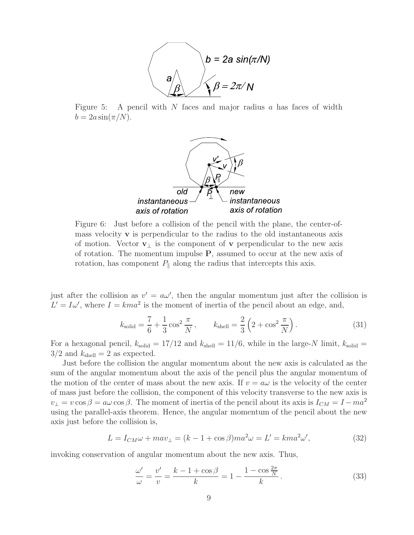

Figure 5: A pencil with  $N$  faces and major radius  $a$  has faces of width  $b = 2a \sin(\pi/N)$ .



Figure 6: Just before a collision of the pencil with the plane, the center-ofmass velocity **v** is perpendicular to the radius to the old instantaneous axis of motion. Vector **v**<sup>⊥</sup> is the component of **v** perpendicular to the new axis of rotation. The momentum impulse **P**, assumed to occur at the new axis of rotation, has component  $P_{\parallel}$  along the radius that intercepts this axis.

just after the collision as  $v' = a\omega'$ , then the angular momentum just after the collision is  $L' = I\omega'$ , where  $I = kma^2$  is the moment of inertia of the pencil about an edge, and,

$$
k_{\text{solid}} = \frac{7}{6} + \frac{1}{3}\cos^2\frac{\pi}{N}, \qquad k_{\text{shell}} = \frac{2}{3}\left(2 + \cos^2\frac{\pi}{N}\right). \tag{31}
$$

For a hexagonal pencil,  $k_{\text{solid}} = 17/12$  and  $k_{\text{shell}} = 11/6$ , while in the large-N limit,  $k_{\text{solid}} =$  $3/2$  and  $k_{\text{shell}} = 2$  as expected.

Just before the collision the angular momentum about the new axis is calculated as the sum of the angular momentum about the axis of the pencil plus the angular momentum of the motion of the center of mass about the new axis. If  $v = a\omega$  is the velocity of the center of mass just before the collision, the component of this velocity transverse to the new axis is  $v_{\perp} = v \cos \beta = a \omega \cos \beta$ . The moment of inertia of the pencil about its axis is  $I_{CM} = I - ma^2$ using the parallel-axis theorem. Hence, the angular momentum of the pencil about the new axis just before the collision is,

$$
L = I_{CM}\omega + mav_{\perp} = (k - 1 + \cos\beta)ma^2\omega = L' = kma^2\omega',\tag{32}
$$

invoking conservation of angular momentum about the new axis. Thus,

$$
\frac{\omega'}{\omega} = \frac{v'}{v} = \frac{k - 1 + \cos \beta}{k} = 1 - \frac{1 - \cos \frac{2\pi}{N}}{k}.
$$
\n(33)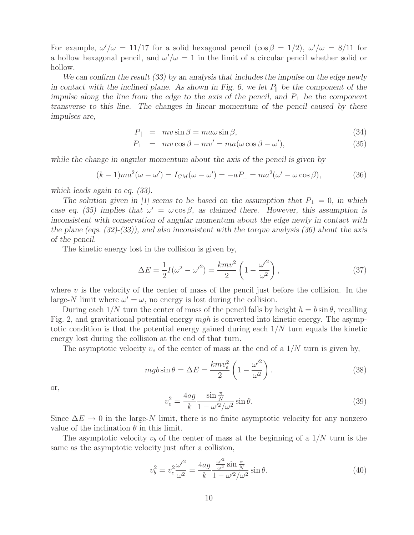For example,  $\omega'/\omega = 11/17$  for a solid hexagonal pencil  $(\cos \beta = 1/2)$ ,  $\omega'/\omega = 8/11$  for a hollow hexagonal pencil, and  $\omega'/\omega = 1$  in the limit of a circular pencil whether solid or hollow.

*We can confirm the result (33) by an analysis that includes the impulse on the edge newly in contact with the inclined plane. As shown in Fig. 6, we let*  $P_{\parallel}$  *be the component of the impulse along the line from the edge to the axis of the pencil, and*  $P_1$  *be the component transverse to this line. The changes in linear momentum of the pencil caused by these impulses are,*

$$
P_{\parallel} = mv \sin \beta = m a \omega \sin \beta, \qquad (34)
$$

$$
P_{\perp} = mv \cos \beta - mv' = ma(\omega \cos \beta - \omega'), \qquad (35)
$$

*while the change in angular momentum about the axis of the pencil is given by*

$$
(k-1)ma^2(\omega - \omega') = I_{CM}(\omega - \omega') = -aP_{\perp} = ma^2(\omega' - \omega \cos \beta), \tag{36}
$$

*which leads again to eq. (33).*

*The solution given in [1] seems to be based on the assumption that*  $P_{\perp} = 0$ , *in which case eq. (35) implies that*  $\omega' = \omega \cos \beta$ , as claimed there. However, this assumption is *inconsistent with conservation of angular momentum about the edge newly in contact with the plane (eqs. (32)-(33)), and also inconsistent with the torque analysis (36) about the axis of the pencil.*

The kinetic energy lost in the collision is given by,

$$
\Delta E = \frac{1}{2}I(\omega^2 - {\omega'}^2) = \frac{kmv^2}{2}\left(1 - \frac{{\omega'}^2}{\omega^2}\right),\tag{37}
$$

where  $v$  is the velocity of the center of mass of the pencil just before the collision. In the large-N limit where  $\omega' = \omega$ , no energy is lost during the collision.

During each  $1/N$  turn the center of mass of the pencil falls by height  $h = b \sin \theta$ , recalling Fig. 2, and gravitational potential energy mgh is converted into kinetic energy. The asymptotic condition is that the potential energy gained during each  $1/N$  turn equals the kinetic energy lost during the collision at the end of that turn.

The asymptotic velocity  $v_e$  of the center of mass at the end of a  $1/N$  turn is given by,

$$
mgb\sin\theta = \Delta E = \frac{kmv_e^2}{2}\left(1 - \frac{\omega'^2}{\omega^2}\right). \tag{38}
$$

or,

$$
v_e^2 = \frac{4ag}{k} \frac{\sin \frac{\pi}{N}}{1 - \omega'^2 / \omega^2} \sin \theta.
$$
 (39)

Since  $\Delta E \rightarrow 0$  in the large-N limit, there is no finite asymptotic velocity for any nonzero value of the inclination  $\theta$  in this limit.

The asymptotic velocity  $v_b$  of the center of mass at the beginning of a  $1/N$  turn is the same as the asymptotic velocity just after a collision,

$$
v_b^2 = v_e^2 \frac{{\omega'}^2}{\omega^2} = \frac{4ag}{k} \frac{\frac{{\omega'}^2}{\omega^2} \sin \frac{\pi}{N}}{1 - {\omega'}^2 / {\omega^2}} \sin \theta.
$$
 (40)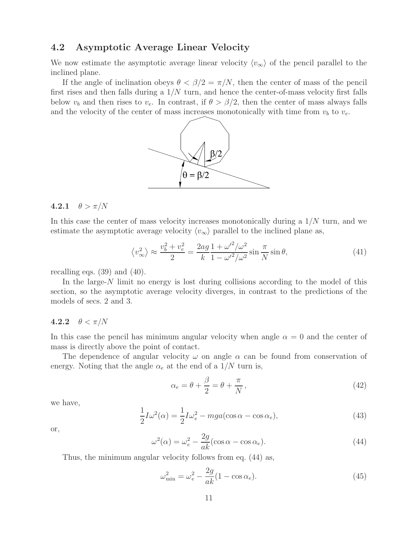### **4.2 Asymptotic Average Linear Velocity**

We now estimate the asymptotic average linear velocity  $\langle v_{\infty} \rangle$  of the pencil parallel to the inclined plane.

If the angle of inclination obeys  $\theta < \beta/2 = \pi/N$ , then the center of mass of the pencil first rises and then falls during a  $1/N$  turn, and hence the center-of-mass velocity first falls below  $v_b$  and then rises to  $v_e$ . In contrast, if  $\theta > \beta/2$ , then the center of mass always falls and the velocity of the center of mass increases monotonically with time from  $v_b$  to  $v_e$ .



#### **4.2.1**  $\theta > \pi/N$

In this case the center of mass velocity increases monotonically during a 1/N turn, and we estimate the asymptotic average velocity  $\langle v_{\infty} \rangle$  parallel to the inclined plane as,

$$
\left\langle v_{\infty}^2 \right\rangle \approx \frac{v_b^2 + v_e^2}{2} = \frac{2ag}{k} \frac{1 + \omega'^2 / \omega^2}{1 - \omega'^2 / \omega^2} \sin \frac{\pi}{N} \sin \theta,\tag{41}
$$

recalling eqs.  $(39)$  and  $(40)$ .

In the large-N limit no energy is lost during collisions according to the model of this section, so the asymptotic average velocity diverges, in contrast to the predictions of the models of secs. 2 and 3.

#### **4.2.2**  $\theta < \pi/N$

In this case the pencil has minimum angular velocity when angle  $\alpha = 0$  and the center of mass is directly above the point of contact.

The dependence of angular velocity  $\omega$  on angle  $\alpha$  can be found from conservation of energy. Noting that the angle  $\alpha_e$  at the end of a  $1/N$  turn is,

$$
\alpha_e = \theta + \frac{\beta}{2} = \theta + \frac{\pi}{N},\tag{42}
$$

we have,

$$
\frac{1}{2}I\omega^2(\alpha) = \frac{1}{2}I\omega_e^2 - mga(\cos\alpha - \cos\alpha_e),\tag{43}
$$

or,

$$
\omega^2(\alpha) = \omega_e^2 - \frac{2g}{ak}(\cos \alpha - \cos \alpha_e). \tag{44}
$$

Thus, the minimum angular velocity follows from eq. (44) as,

$$
\omega_{\min}^2 = \omega_e^2 - \frac{2g}{ak}(1 - \cos \alpha_e). \tag{45}
$$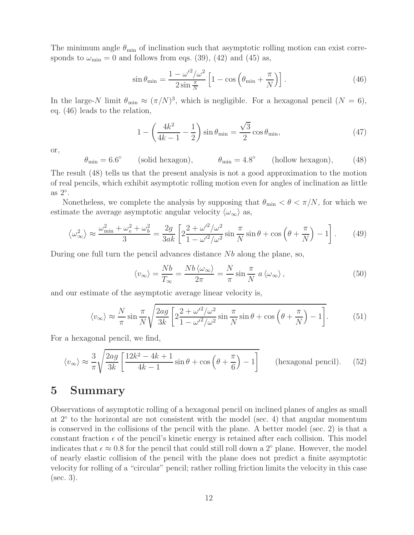The minimum angle  $\theta_{\min}$  of inclination such that asymptotic rolling motion can exist corresponds to  $\omega_{\rm min} = 0$  and follows from eqs. (39), (42) and (45) as,

$$
\sin \theta_{\min} = \frac{1 - \omega'^2 / \omega^2}{2 \sin \frac{\pi}{N}} \left[ 1 - \cos \left( \theta_{\min} + \frac{\pi}{N} \right) \right]. \tag{46}
$$

In the large-N limit  $\theta_{\min} \approx (\pi/N)^3$ , which is negligible. For a hexagonal pencil  $(N = 6)$ , eq. (46) leads to the relation,

$$
1 - \left(\frac{4k^2}{4k - 1} - \frac{1}{2}\right) \sin \theta_{\min} = \frac{\sqrt{3}}{2} \cos \theta_{\min},\tag{47}
$$

or,

 $\theta_{\min} = 6.6^{\circ}$  (solid hexagon),  $\theta_{\min} = 4.8^{\circ}$  (hollow hexagon), (48)

The result (48) tells us that the present analysis is not a good approximation to the motion of real pencils, which exhibit asymptotic rolling motion even for angles of inclination as little as  $2^\circ$ .

Nonetheless, we complete the analysis by supposing that  $\theta_{\min} < \theta < \pi/N$ , for which we estimate the average asymptotic angular velocity  $\langle \omega_{\infty} \rangle$  as,

$$
\left\langle \omega_{\infty}^2 \right\rangle \approx \frac{\omega_{\min}^2 + \omega_e^2 + \omega_b^2}{3} = \frac{2g}{3ak} \left[ 2 \frac{2 + {\omega'}^2 / \omega^2}{1 - {\omega'}^2 / \omega^2} \sin \frac{\pi}{N} \sin \theta + \cos \left( \theta + \frac{\pi}{N} \right) - 1 \right]. \tag{49}
$$

During one full turn the pencil advances distance  $Nb$  along the plane, so,

$$
\langle v_{\infty} \rangle = \frac{Nb}{T_{\infty}} = \frac{Nb \langle \omega_{\infty} \rangle}{2\pi} = \frac{N}{\pi} \sin \frac{\pi}{N} a \langle \omega_{\infty} \rangle, \qquad (50)
$$

and our estimate of the asymptotic average linear velocity is,

$$
\langle v_{\infty} \rangle \approx \frac{N}{\pi} \sin \frac{\pi}{N} \sqrt{\frac{2ag}{3k} \left[ 2 \frac{2 + \omega'^2 / \omega^2}{1 - \omega'^2 / \omega^2} \sin \frac{\pi}{N} \sin \theta + \cos \left( \theta + \frac{\pi}{N} \right) - 1 \right]}.
$$
 (51)

For a hexagonal pencil, we find,

$$
\langle v_{\infty} \rangle \approx \frac{3}{\pi} \sqrt{\frac{2ag}{3k} \left[ \frac{12k^2 - 4k + 1}{4k - 1} \sin \theta + \cos \left( \theta + \frac{\pi}{6} \right) - 1 \right]}
$$
 (hexagonal pencil). (52)

## **5 Summary**

Observations of asymptotic rolling of a hexagonal pencil on inclined planes of angles as small at 2◦ to the horizontal are not consistent with the model (sec. 4) that angular momentum is conserved in the collisions of the pencil with the plane. A better model (sec. 2) is that a constant fraction  $\epsilon$  of the pencil's kinetic energy is retained after each collision. This model indicates that  $\epsilon \approx 0.8$  for the pencil that could still roll down a 2<sup>°</sup> plane. However, the model of nearly elastic collision of the pencil with the plane does not predict a finite asymptotic velocity for rolling of a "circular" pencil; rather rolling friction limits the velocity in this case (sec. 3).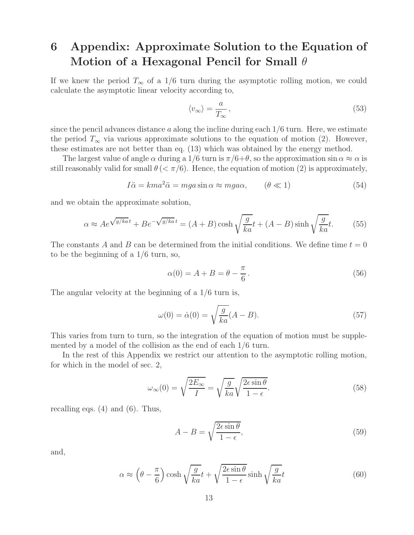# **6 Appendix: Approximate Solution to the Equation of Motion of a Hexagonal Pencil for Small** θ

If we knew the period  $T_{\infty}$  of a 1/6 turn during the asymptotic rolling motion, we could calculate the asymptotic linear velocity according to,

$$
\langle v_{\infty} \rangle = \frac{a}{T_{\infty}},\tag{53}
$$

since the pencil advances distance a along the incline during each  $1/6$  turn. Here, we estimate the period  $T_{\infty}$  via various approximate solutions to the equation of motion (2). However, these estimates are not better than eq. (13) which was obtained by the energy method.

The largest value of angle  $\alpha$  during a 1/6 turn is  $\pi/6+\theta$ , so the approximation sin  $\alpha \approx \alpha$  is still reasonably valid for small  $\theta \ll \pi/6$ . Hence, the equation of motion (2) is approximately,

$$
I\ddot{\alpha} = km a^2 \ddot{\alpha} = mga \sin \alpha \approx mga\alpha, \qquad (\theta \ll 1)
$$
 (54)

and we obtain the approximate solution,

$$
\alpha \approx Ae^{\sqrt{g/ka}t} + Be^{-\sqrt{g/ka}t} = (A+B)\cosh\sqrt{\frac{g}{ka}}t + (A-B)\sinh\sqrt{\frac{g}{ka}}t.
$$
 (55)

The constants A and B can be determined from the initial conditions. We define time  $t = 0$ to be the beginning of a 1/6 turn, so,

$$
\alpha(0) = A + B = \theta - \frac{\pi}{6}.
$$
\n<sup>(56)</sup>

The angular velocity at the beginning of a 1/6 turn is,

$$
\omega(0) = \dot{\alpha}(0) = \sqrt{\frac{g}{ka}}(A - B). \tag{57}
$$

This varies from turn to turn, so the integration of the equation of motion must be supplemented by a model of the collision as the end of each 1/6 turn.

In the rest of this Appendix we restrict our attention to the asymptotic rolling motion, for which in the model of sec. 2,

$$
\omega_{\infty}(0) = \sqrt{\frac{2E_{\infty}}{I}} = \sqrt{\frac{g}{ka}} \sqrt{\frac{2\epsilon \sin \theta}{1 - \epsilon}}.
$$
\n(58)

recalling eqs.  $(4)$  and  $(6)$ . Thus,

$$
A - B = \sqrt{\frac{2\epsilon \sin \theta}{1 - \epsilon}},\tag{59}
$$

and,

$$
\alpha \approx \left(\theta - \frac{\pi}{6}\right) \cosh\sqrt{\frac{g}{ka}}t + \sqrt{\frac{2\epsilon \sin\theta}{1-\epsilon}} \sinh\sqrt{\frac{g}{ka}}t\tag{60}
$$